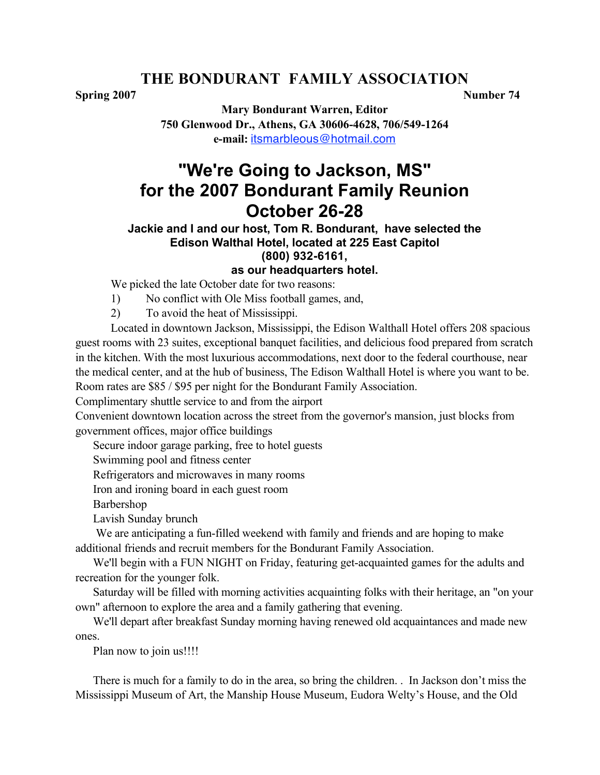# **THE BONDURANT FAMILY ASSOCIATION**

**Spring 2007 Number 74**

**Mary Bondurant Warren, Editor 750 Glenwood Dr., Athens, GA 30606-4628, 706/549-1264 e-mail:** itsmarbleous@hotmail.com

# **"We're Going to Jackson, MS" for the 2007 Bondurant Family Reunion October 26-28**

#### **Jackie and I and our host, Tom R. Bondurant, have selected the Edison Walthal Hotel, located at 225 East Capitol (800) 932-6161, as our headquarters hotel.**

We picked the late October date for two reasons:

1) No conflict with Ole Miss football games, and,

2) To avoid the heat of Mississippi.

Located in downtown Jackson, Mississippi, the Edison Walthall Hotel offers 208 spacious guest rooms with 23 suites, exceptional banquet facilities, and delicious food prepared from scratch in the kitchen. With the most luxurious accommodations, next door to the federal courthouse, near the medical center, and at the hub of business, The Edison Walthall Hotel is where you want to be. Room rates are \$85 / \$95 per night for the Bondurant Family Association.

Complimentary shuttle service to and from the airport

Convenient downtown location across the street from the governor's mansion, just blocks from government offices, major office buildings

Secure indoor garage parking, free to hotel guests

Swimming pool and fitness center

Refrigerators and microwaves in many rooms

Iron and ironing board in each guest room

Barbershop

Lavish Sunday brunch

 We are anticipating a fun-filled weekend with family and friends and are hoping to make additional friends and recruit members for the Bondurant Family Association.

We'll begin with a FUN NIGHT on Friday, featuring get-acquainted games for the adults and recreation for the younger folk.

Saturday will be filled with morning activities acquainting folks with their heritage, an "on your own" afternoon to explore the area and a family gathering that evening.

We'll depart after breakfast Sunday morning having renewed old acquaintances and made new ones.

Plan now to join us!!!!

There is much for a family to do in the area, so bring the children. . In Jackson don't miss the Mississippi Museum of Art, the Manship House Museum, Eudora Welty's House, and the Old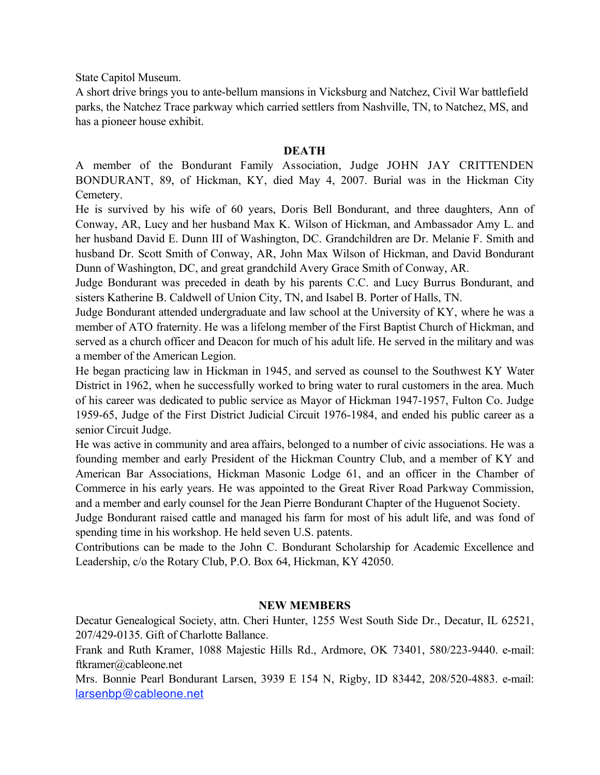State Capitol Museum.

A short drive brings you to ante-bellum mansions in Vicksburg and Natchez, Civil War battlefield parks, the Natchez Trace parkway which carried settlers from Nashville, TN, to Natchez, MS, and has a pioneer house exhibit.

#### **DEATH**

A member of the Bondurant Family Association, Judge JOHN JAY CRITTENDEN BONDURANT, 89, of Hickman, KY, died May 4, 2007. Burial was in the Hickman City Cemetery.

He is survived by his wife of 60 years, Doris Bell Bondurant, and three daughters, Ann of Conway, AR, Lucy and her husband Max K. Wilson of Hickman, and Ambassador Amy L. and her husband David E. Dunn III of Washington, DC. Grandchildren are Dr. Melanie F. Smith and husband Dr. Scott Smith of Conway, AR, John Max Wilson of Hickman, and David Bondurant Dunn of Washington, DC, and great grandchild Avery Grace Smith of Conway, AR.

Judge Bondurant was preceded in death by his parents C.C. and Lucy Burrus Bondurant, and sisters Katherine B. Caldwell of Union City, TN, and Isabel B. Porter of Halls, TN.

Judge Bondurant attended undergraduate and law school at the University of KY, where he was a member of ATO fraternity. He was a lifelong member of the First Baptist Church of Hickman, and served as a church officer and Deacon for much of his adult life. He served in the military and was a member of the American Legion.

He began practicing law in Hickman in 1945, and served as counsel to the Southwest KY Water District in 1962, when he successfully worked to bring water to rural customers in the area. Much of his career was dedicated to public service as Mayor of Hickman 1947-1957, Fulton Co. Judge 1959-65, Judge of the First District Judicial Circuit 1976-1984, and ended his public career as a senior Circuit Judge.

He was active in community and area affairs, belonged to a number of civic associations. He was a founding member and early President of the Hickman Country Club, and a member of KY and American Bar Associations, Hickman Masonic Lodge 61, and an officer in the Chamber of Commerce in his early years. He was appointed to the Great River Road Parkway Commission, and a member and early counsel for the Jean Pierre Bondurant Chapter of the Huguenot Society.

Judge Bondurant raised cattle and managed his farm for most of his adult life, and was fond of spending time in his workshop. He held seven U.S. patents.

Contributions can be made to the John C. Bondurant Scholarship for Academic Excellence and Leadership, c/o the Rotary Club, P.O. Box 64, Hickman, KY 42050.

#### **NEW MEMBERS**

Decatur Genealogical Society, attn. Cheri Hunter, 1255 West South Side Dr., Decatur, IL 62521, 207/429-0135. Gift of Charlotte Ballance.

Frank and Ruth Kramer, 1088 Majestic Hills Rd., Ardmore, OK 73401, 580/223-9440. e-mail: ftkramer@cableone.net

Mrs. Bonnie Pearl Bondurant Larsen, 3939 E 154 N, Rigby, ID 83442, 208/520-4883. e-mail: larsenbp@cableone.net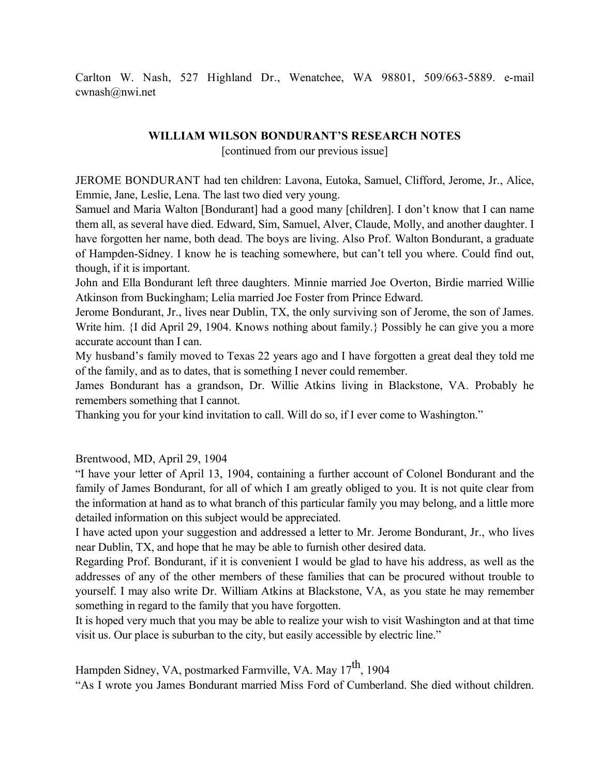Carlton W. Nash, 527 Highland Dr., Wenatchee, WA 98801, 509/663-5889. e-mail cwnash@nwi.net

#### **WILLIAM WILSON BONDURANT'S RESEARCH NOTES**

[continued from our previous issue]

JEROME BONDURANT had ten children: Lavona, Eutoka, Samuel, Clifford, Jerome, Jr., Alice, Emmie, Jane, Leslie, Lena. The last two died very young.

Samuel and Maria Walton [Bondurant] had a good many [children]. I don't know that I can name them all, as several have died. Edward, Sim, Samuel, Alver, Claude, Molly, and another daughter. I have forgotten her name, both dead. The boys are living. Also Prof. Walton Bondurant, a graduate of Hampden-Sidney. I know he is teaching somewhere, but can't tell you where. Could find out, though, if it is important.

John and Ella Bondurant left three daughters. Minnie married Joe Overton, Birdie married Willie Atkinson from Buckingham; Lelia married Joe Foster from Prince Edward.

Jerome Bondurant, Jr., lives near Dublin, TX, the only surviving son of Jerome, the son of James. Write him. {I did April 29, 1904. Knows nothing about family.} Possibly he can give you a more accurate account than I can.

My husband's family moved to Texas 22 years ago and I have forgotten a great deal they told me of the family, and as to dates, that is something I never could remember.

James Bondurant has a grandson, Dr. Willie Atkins living in Blackstone, VA. Probably he remembers something that I cannot.

Thanking you for your kind invitation to call. Will do so, if I ever come to Washington."

Brentwood, MD, April 29, 1904

"I have your letter of April 13, 1904, containing a further account of Colonel Bondurant and the family of James Bondurant, for all of which I am greatly obliged to you. It is not quite clear from the information at hand as to what branch of this particular family you may belong, and a little more detailed information on this subject would be appreciated.

I have acted upon your suggestion and addressed a letter to Mr. Jerome Bondurant, Jr., who lives near Dublin, TX, and hope that he may be able to furnish other desired data.

Regarding Prof. Bondurant, if it is convenient I would be glad to have his address, as well as the addresses of any of the other members of these families that can be procured without trouble to yourself. I may also write Dr. William Atkins at Blackstone, VA, as you state he may remember something in regard to the family that you have forgotten.

It is hoped very much that you may be able to realize your wish to visit Washington and at that time visit us. Our place is suburban to the city, but easily accessible by electric line."

Hampden Sidney, VA, postmarked Farmville, VA. May 17<sup>th</sup>, 1904

"As I wrote you James Bondurant married Miss Ford of Cumberland. She died without children.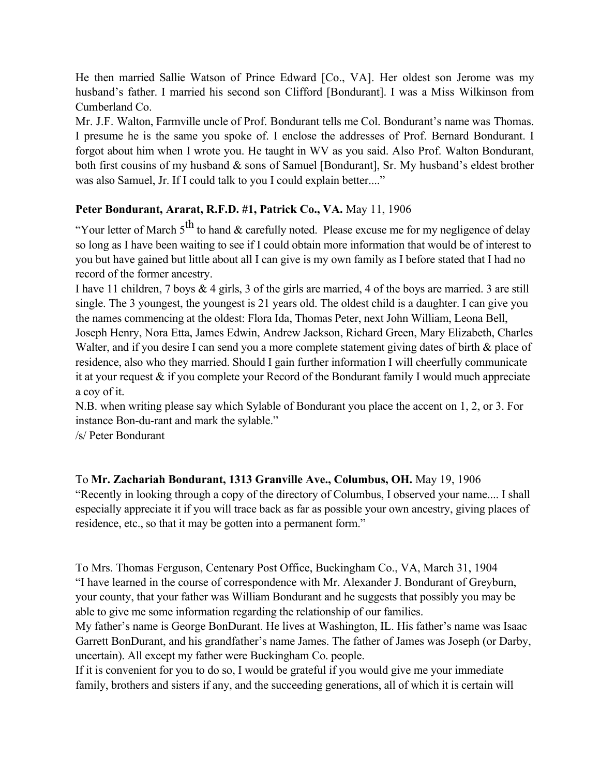He then married Sallie Watson of Prince Edward [Co., VA]. Her oldest son Jerome was my husband's father. I married his second son Clifford [Bondurant]. I was a Miss Wilkinson from Cumberland Co.

Mr. J.F. Walton, Farmville uncle of Prof. Bondurant tells me Col. Bondurant's name was Thomas. I presume he is the same you spoke of. I enclose the addresses of Prof. Bernard Bondurant. I forgot about him when I wrote you. He taught in WV as you said. Also Prof. Walton Bondurant, both first cousins of my husband & sons of Samuel [Bondurant], Sr. My husband's eldest brother was also Samuel, Jr. If I could talk to you I could explain better...."

# **Peter Bondurant, Ararat, R.F.D. #1, Patrick Co., VA.** May 11, 1906

"Your letter of March  $5<sup>th</sup>$  to hand & carefully noted. Please excuse me for my negligence of delay so long as I have been waiting to see if I could obtain more information that would be of interest to you but have gained but little about all I can give is my own family as I before stated that I had no record of the former ancestry.

I have 11 children, 7 boys & 4 girls, 3 of the girls are married, 4 of the boys are married. 3 are still single. The 3 youngest, the youngest is 21 years old. The oldest child is a daughter. I can give you the names commencing at the oldest: Flora Ida, Thomas Peter, next John William, Leona Bell, Joseph Henry, Nora Etta, James Edwin, Andrew Jackson, Richard Green, Mary Elizabeth, Charles Walter, and if you desire I can send you a more complete statement giving dates of birth  $\&$  place of residence, also who they married. Should I gain further information I will cheerfully communicate it at your request & if you complete your Record of the Bondurant family I would much appreciate a coy of it.

N.B. when writing please say which Sylable of Bondurant you place the accent on 1, 2, or 3. For instance Bon-du-rant and mark the sylable."

/s/ Peter Bondurant

To **Mr. Zachariah Bondurant, 1313 Granville Ave., Columbus, OH.** May 19, 1906 "Recently in looking through a copy of the directory of Columbus, I observed your name.... I shall especially appreciate it if you will trace back as far as possible your own ancestry, giving places of residence, etc., so that it may be gotten into a permanent form."

To Mrs. Thomas Ferguson, Centenary Post Office, Buckingham Co., VA, March 31, 1904 "I have learned in the course of correspondence with Mr. Alexander J. Bondurant of Greyburn, your county, that your father was William Bondurant and he suggests that possibly you may be able to give me some information regarding the relationship of our families.

My father's name is George BonDurant. He lives at Washington, IL. His father's name was Isaac Garrett BonDurant, and his grandfather's name James. The father of James was Joseph (or Darby, uncertain). All except my father were Buckingham Co. people.

If it is convenient for you to do so, I would be grateful if you would give me your immediate family, brothers and sisters if any, and the succeeding generations, all of which it is certain will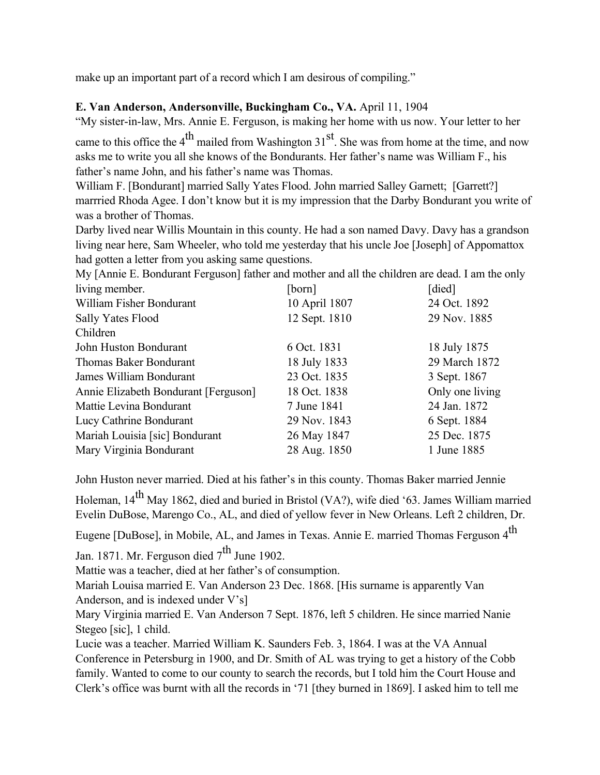make up an important part of a record which I am desirous of compiling."

# **E. Van Anderson, Andersonville, Buckingham Co., VA.** April 11, 1904

"My sister-in-law, Mrs. Annie E. Ferguson, is making her home with us now. Your letter to her

came to this office the 4<sup>th</sup> mailed from Washington  $31<sup>st</sup>$ . She was from home at the time, and now asks me to write you all she knows of the Bondurants. Her father's name was William F., his father's name John, and his father's name was Thomas.

William F. [Bondurant] married Sally Yates Flood. John married Salley Garnett; [Garrett?] marrried Rhoda Agee. I don't know but it is my impression that the Darby Bondurant you write of was a brother of Thomas.

Darby lived near Willis Mountain in this county. He had a son named Davy. Davy has a grandson living near here, Sam Wheeler, who told me yesterday that his uncle Joe [Joseph] of Appomattox had gotten a letter from you asking same questions.

My [Annie E. Bondurant Ferguson] father and mother and all the children are dead. I am the only

| living member.                       | [born]        | [died]          |
|--------------------------------------|---------------|-----------------|
| William Fisher Bondurant             | 10 April 1807 | 24 Oct. 1892    |
| Sally Yates Flood                    | 12 Sept. 1810 | 29 Nov. 1885    |
| Children                             |               |                 |
| John Huston Bondurant                | 6 Oct. 1831   | 18 July 1875    |
| Thomas Baker Bondurant               | 18 July 1833  | 29 March 1872   |
| James William Bondurant              | 23 Oct. 1835  | 3 Sept. 1867    |
| Annie Elizabeth Bondurant [Ferguson] | 18 Oct. 1838  | Only one living |
| Mattie Levina Bondurant              | 7 June 1841   | 24 Jan. 1872    |
| Lucy Cathrine Bondurant              | 29 Nov. 1843  | 6 Sept. 1884    |
| Mariah Louisia [sic] Bondurant       | 26 May 1847   | 25 Dec. 1875    |
| Mary Virginia Bondurant              | 28 Aug. 1850  | 1 June 1885     |

John Huston never married. Died at his father's in this county. Thomas Baker married Jennie

Holeman, 14<sup>th</sup> May 1862, died and buried in Bristol (VA?), wife died '63. James William married Evelin DuBose, Marengo Co., AL, and died of yellow fever in New Orleans. Left 2 children, Dr.

Eugene [DuBose], in Mobile, AL, and James in Texas. Annie E. married Thomas Ferguson 4<sup>th</sup>

Jan. 1871. Mr. Ferguson died  $7<sup>th</sup>$  June 1902.

Mattie was a teacher, died at her father's of consumption.

Mariah Louisa married E. Van Anderson 23 Dec. 1868. [His surname is apparently Van Anderson, and is indexed under V's]

Mary Virginia married E. Van Anderson 7 Sept. 1876, left 5 children. He since married Nanie Stegeo [sic], 1 child.

Lucie was a teacher. Married William K. Saunders Feb. 3, 1864. I was at the VA Annual Conference in Petersburg in 1900, and Dr. Smith of AL was trying to get a history of the Cobb family. Wanted to come to our county to search the records, but I told him the Court House and Clerk's office was burnt with all the records in '71 [they burned in 1869]. I asked him to tell me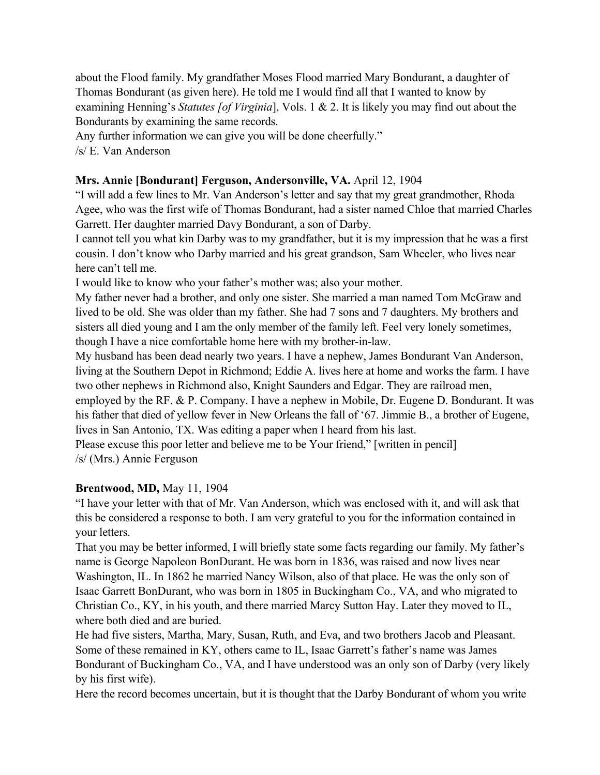about the Flood family. My grandfather Moses Flood married Mary Bondurant, a daughter of Thomas Bondurant (as given here). He told me I would find all that I wanted to know by examining Henning's *Statutes [of Virginia*], Vols. 1 & 2. It is likely you may find out about the Bondurants by examining the same records.

Any further information we can give you will be done cheerfully."

/s/ E. Van Anderson

## **Mrs. Annie [Bondurant] Ferguson, Andersonville, VA.** April 12, 1904

"I will add a few lines to Mr. Van Anderson's letter and say that my great grandmother, Rhoda Agee, who was the first wife of Thomas Bondurant, had a sister named Chloe that married Charles Garrett. Her daughter married Davy Bondurant, a son of Darby.

I cannot tell you what kin Darby was to my grandfather, but it is my impression that he was a first cousin. I don't know who Darby married and his great grandson, Sam Wheeler, who lives near here can't tell me.

I would like to know who your father's mother was; also your mother.

My father never had a brother, and only one sister. She married a man named Tom McGraw and lived to be old. She was older than my father. She had 7 sons and 7 daughters. My brothers and sisters all died young and I am the only member of the family left. Feel very lonely sometimes, though I have a nice comfortable home here with my brother-in-law.

My husband has been dead nearly two years. I have a nephew, James Bondurant Van Anderson, living at the Southern Depot in Richmond; Eddie A. lives here at home and works the farm. I have two other nephews in Richmond also, Knight Saunders and Edgar. They are railroad men, employed by the RF. & P. Company. I have a nephew in Mobile, Dr. Eugene D. Bondurant. It was his father that died of yellow fever in New Orleans the fall of '67. Jimmie B., a brother of Eugene,

lives in San Antonio, TX. Was editing a paper when I heard from his last.

Please excuse this poor letter and believe me to be Your friend," [written in pencil] /s/ (Mrs.) Annie Ferguson

# **Brentwood, MD,** May 11, 1904

"I have your letter with that of Mr. Van Anderson, which was enclosed with it, and will ask that this be considered a response to both. I am very grateful to you for the information contained in your letters.

That you may be better informed, I will briefly state some facts regarding our family. My father's name is George Napoleon BonDurant. He was born in 1836, was raised and now lives near Washington, IL. In 1862 he married Nancy Wilson, also of that place. He was the only son of Isaac Garrett BonDurant, who was born in 1805 in Buckingham Co., VA, and who migrated to Christian Co., KY, in his youth, and there married Marcy Sutton Hay. Later they moved to IL, where both died and are buried.

He had five sisters, Martha, Mary, Susan, Ruth, and Eva, and two brothers Jacob and Pleasant. Some of these remained in KY, others came to IL, Isaac Garrett's father's name was James Bondurant of Buckingham Co., VA, and I have understood was an only son of Darby (very likely by his first wife).

Here the record becomes uncertain, but it is thought that the Darby Bondurant of whom you write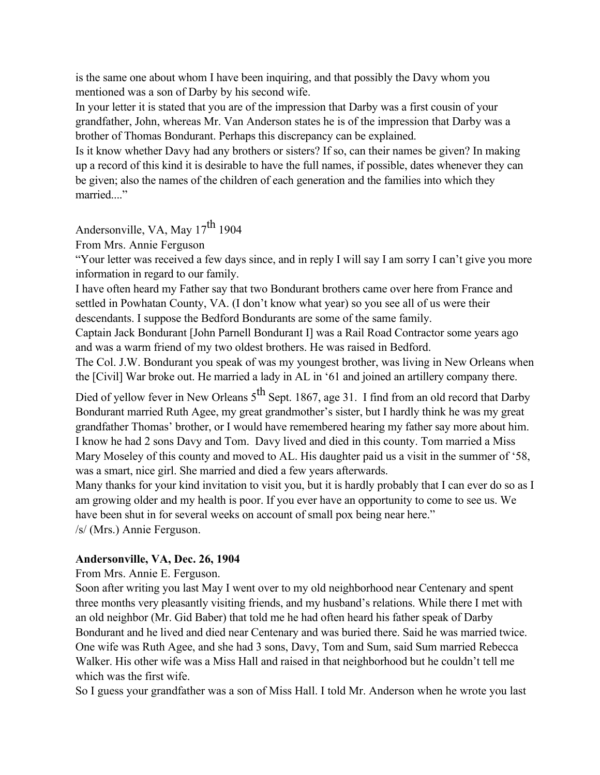is the same one about whom I have been inquiring, and that possibly the Davy whom you mentioned was a son of Darby by his second wife.

In your letter it is stated that you are of the impression that Darby was a first cousin of your grandfather, John, whereas Mr. Van Anderson states he is of the impression that Darby was a brother of Thomas Bondurant. Perhaps this discrepancy can be explained.

Is it know whether Davy had any brothers or sisters? If so, can their names be given? In making up a record of this kind it is desirable to have the full names, if possible, dates whenever they can be given; also the names of the children of each generation and the families into which they married...."

Andersonville, VA, May  $17^{th}$  1904

From Mrs. Annie Ferguson

"Your letter was received a few days since, and in reply I will say I am sorry I can't give you more information in regard to our family.

I have often heard my Father say that two Bondurant brothers came over here from France and settled in Powhatan County, VA. (I don't know what year) so you see all of us were their descendants. I suppose the Bedford Bondurants are some of the same family.

Captain Jack Bondurant [John Parnell Bondurant I] was a Rail Road Contractor some years ago and was a warm friend of my two oldest brothers. He was raised in Bedford.

The Col. J.W. Bondurant you speak of was my youngest brother, was living in New Orleans when the [Civil] War broke out. He married a lady in AL in '61 and joined an artillery company there.

Died of yellow fever in New Orleans 5<sup>th</sup> Sept. 1867, age 31. I find from an old record that Darby Bondurant married Ruth Agee, my great grandmother's sister, but I hardly think he was my great grandfather Thomas' brother, or I would have remembered hearing my father say more about him. I know he had 2 sons Davy and Tom. Davy lived and died in this county. Tom married a Miss Mary Moseley of this county and moved to AL. His daughter paid us a visit in the summer of '58, was a smart, nice girl. She married and died a few years afterwards.

Many thanks for your kind invitation to visit you, but it is hardly probably that I can ever do so as I am growing older and my health is poor. If you ever have an opportunity to come to see us. We have been shut in for several weeks on account of small pox being near here." /s/ (Mrs.) Annie Ferguson.

# **Andersonville, VA, Dec. 26, 1904**

From Mrs. Annie E. Ferguson.

Soon after writing you last May I went over to my old neighborhood near Centenary and spent three months very pleasantly visiting friends, and my husband's relations. While there I met with an old neighbor (Mr. Gid Baber) that told me he had often heard his father speak of Darby Bondurant and he lived and died near Centenary and was buried there. Said he was married twice. One wife was Ruth Agee, and she had 3 sons, Davy, Tom and Sum, said Sum married Rebecca Walker. His other wife was a Miss Hall and raised in that neighborhood but he couldn't tell me which was the first wife.

So I guess your grandfather was a son of Miss Hall. I told Mr. Anderson when he wrote you last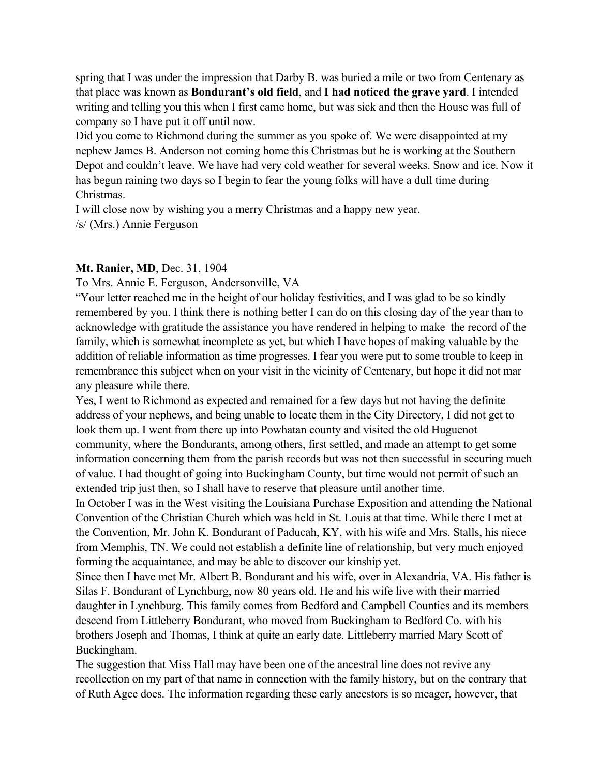spring that I was under the impression that Darby B. was buried a mile or two from Centenary as that place was known as **Bondurant's old field**, and **I had noticed the grave yard**. I intended writing and telling you this when I first came home, but was sick and then the House was full of company so I have put it off until now.

Did you come to Richmond during the summer as you spoke of. We were disappointed at my nephew James B. Anderson not coming home this Christmas but he is working at the Southern Depot and couldn't leave. We have had very cold weather for several weeks. Snow and ice. Now it has begun raining two days so I begin to fear the young folks will have a dull time during Christmas.

I will close now by wishing you a merry Christmas and a happy new year.

/s/ (Mrs.) Annie Ferguson

## **Mt. Ranier, MD**, Dec. 31, 1904

To Mrs. Annie E. Ferguson, Andersonville, VA

"Your letter reached me in the height of our holiday festivities, and I was glad to be so kindly remembered by you. I think there is nothing better I can do on this closing day of the year than to acknowledge with gratitude the assistance you have rendered in helping to make the record of the family, which is somewhat incomplete as yet, but which I have hopes of making valuable by the addition of reliable information as time progresses. I fear you were put to some trouble to keep in remembrance this subject when on your visit in the vicinity of Centenary, but hope it did not mar any pleasure while there.

Yes, I went to Richmond as expected and remained for a few days but not having the definite address of your nephews, and being unable to locate them in the City Directory, I did not get to look them up. I went from there up into Powhatan county and visited the old Huguenot community, where the Bondurants, among others, first settled, and made an attempt to get some information concerning them from the parish records but was not then successful in securing much of value. I had thought of going into Buckingham County, but time would not permit of such an extended trip just then, so I shall have to reserve that pleasure until another time.

In October I was in the West visiting the Louisiana Purchase Exposition and attending the National Convention of the Christian Church which was held in St. Louis at that time. While there I met at the Convention, Mr. John K. Bondurant of Paducah, KY, with his wife and Mrs. Stalls, his niece from Memphis, TN. We could not establish a definite line of relationship, but very much enjoyed forming the acquaintance, and may be able to discover our kinship yet.

Since then I have met Mr. Albert B. Bondurant and his wife, over in Alexandria, VA. His father is Silas F. Bondurant of Lynchburg, now 80 years old. He and his wife live with their married daughter in Lynchburg. This family comes from Bedford and Campbell Counties and its members descend from Littleberry Bondurant, who moved from Buckingham to Bedford Co. with his brothers Joseph and Thomas, I think at quite an early date. Littleberry married Mary Scott of Buckingham.

The suggestion that Miss Hall may have been one of the ancestral line does not revive any recollection on my part of that name in connection with the family history, but on the contrary that of Ruth Agee does. The information regarding these early ancestors is so meager, however, that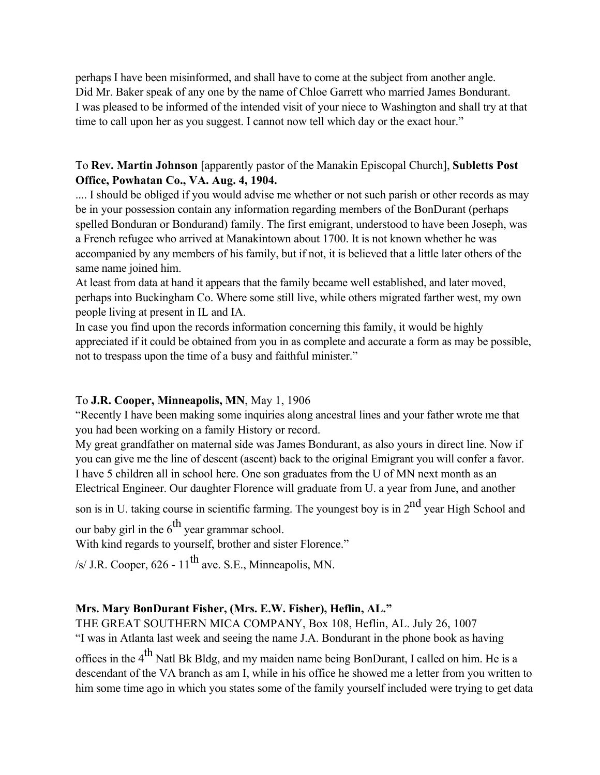perhaps I have been misinformed, and shall have to come at the subject from another angle. Did Mr. Baker speak of any one by the name of Chloe Garrett who married James Bondurant. I was pleased to be informed of the intended visit of your niece to Washington and shall try at that time to call upon her as you suggest. I cannot now tell which day or the exact hour."

## To **Rev. Martin Johnson** [apparently pastor of the Manakin Episcopal Church], **Subletts Post Office, Powhatan Co., VA. Aug. 4, 1904.**

.... I should be obliged if you would advise me whether or not such parish or other records as may be in your possession contain any information regarding members of the BonDurant (perhaps spelled Bonduran or Bondurand) family. The first emigrant, understood to have been Joseph, was a French refugee who arrived at Manakintown about 1700. It is not known whether he was accompanied by any members of his family, but if not, it is believed that a little later others of the same name joined him.

At least from data at hand it appears that the family became well established, and later moved, perhaps into Buckingham Co. Where some still live, while others migrated farther west, my own people living at present in IL and IA.

In case you find upon the records information concerning this family, it would be highly appreciated if it could be obtained from you in as complete and accurate a form as may be possible, not to trespass upon the time of a busy and faithful minister."

# To **J.R. Cooper, Minneapolis, MN**, May 1, 1906

"Recently I have been making some inquiries along ancestral lines and your father wrote me that you had been working on a family History or record.

My great grandfather on maternal side was James Bondurant, as also yours in direct line. Now if you can give me the line of descent (ascent) back to the original Emigrant you will confer a favor. I have 5 children all in school here. One son graduates from the U of MN next month as an Electrical Engineer. Our daughter Florence will graduate from U. a year from June, and another

son is in U. taking course in scientific farming. The youngest boy is in  $2<sup>nd</sup>$  year High School and our baby girl in the  $6^{th}$  year grammar school.

With kind regards to yourself, brother and sister Florence."

/s/ J.R. Cooper,  $626 - 11$ <sup>th</sup> ave. S.E., Minneapolis, MN.

# **Mrs. Mary BonDurant Fisher, (Mrs. E.W. Fisher), Heflin, AL."**

THE GREAT SOUTHERN MICA COMPANY, Box 108, Heflin, AL. July 26, 1007 "I was in Atlanta last week and seeing the name J.A. Bondurant in the phone book as having offices in the  $4<sup>th</sup>$  Natl Bk Bldg, and my maiden name being BonDurant, I called on him. He is a descendant of the VA branch as am I, while in his office he showed me a letter from you written to him some time ago in which you states some of the family yourself included were trying to get data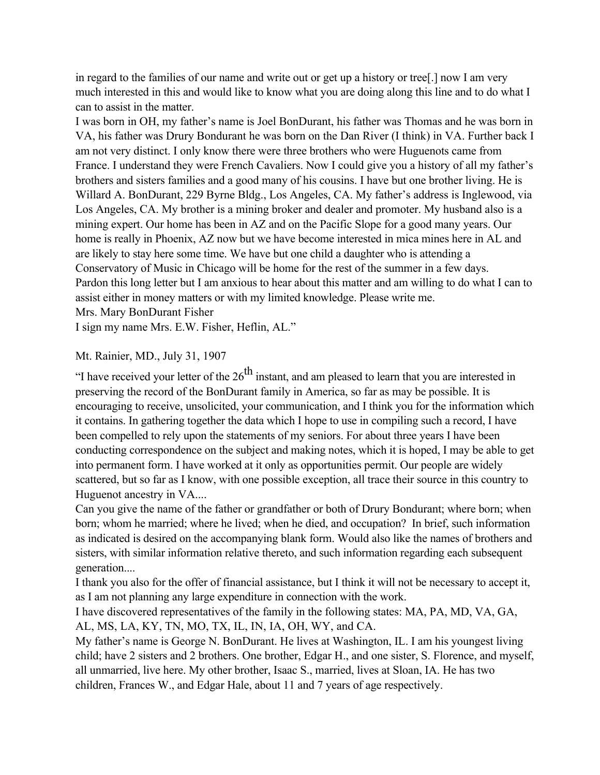in regard to the families of our name and write out or get up a history or tree[.] now I am very much interested in this and would like to know what you are doing along this line and to do what I can to assist in the matter.

I was born in OH, my father's name is Joel BonDurant, his father was Thomas and he was born in VA, his father was Drury Bondurant he was born on the Dan River (I think) in VA. Further back I am not very distinct. I only know there were three brothers who were Huguenots came from France. I understand they were French Cavaliers. Now I could give you a history of all my father's brothers and sisters families and a good many of his cousins. I have but one brother living. He is Willard A. BonDurant, 229 Byrne Bldg., Los Angeles, CA. My father's address is Inglewood, via Los Angeles, CA. My brother is a mining broker and dealer and promoter. My husband also is a mining expert. Our home has been in AZ and on the Pacific Slope for a good many years. Our home is really in Phoenix, AZ now but we have become interested in mica mines here in AL and are likely to stay here some time. We have but one child a daughter who is attending a Conservatory of Music in Chicago will be home for the rest of the summer in a few days. Pardon this long letter but I am anxious to hear about this matter and am willing to do what I can to assist either in money matters or with my limited knowledge. Please write me. Mrs. Mary BonDurant Fisher

I sign my name Mrs. E.W. Fisher, Heflin, AL."

#### Mt. Rainier, MD., July 31, 1907

"I have received your letter of the  $26<sup>th</sup>$  instant, and am pleased to learn that you are interested in preserving the record of the BonDurant family in America, so far as may be possible. It is encouraging to receive, unsolicited, your communication, and I think you for the information which it contains. In gathering together the data which I hope to use in compiling such a record, I have been compelled to rely upon the statements of my seniors. For about three years I have been conducting correspondence on the subject and making notes, which it is hoped, I may be able to get into permanent form. I have worked at it only as opportunities permit. Our people are widely scattered, but so far as I know, with one possible exception, all trace their source in this country to Huguenot ancestry in VA....

Can you give the name of the father or grandfather or both of Drury Bondurant; where born; when born; whom he married; where he lived; when he died, and occupation? In brief, such information as indicated is desired on the accompanying blank form. Would also like the names of brothers and sisters, with similar information relative thereto, and such information regarding each subsequent generation....

I thank you also for the offer of financial assistance, but I think it will not be necessary to accept it, as I am not planning any large expenditure in connection with the work.

I have discovered representatives of the family in the following states: MA, PA, MD, VA, GA, AL, MS, LA, KY, TN, MO, TX, IL, IN, IA, OH, WY, and CA.

My father's name is George N. BonDurant. He lives at Washington, IL. I am his youngest living child; have 2 sisters and 2 brothers. One brother, Edgar H., and one sister, S. Florence, and myself, all unmarried, live here. My other brother, Isaac S., married, lives at Sloan, IA. He has two children, Frances W., and Edgar Hale, about 11 and 7 years of age respectively.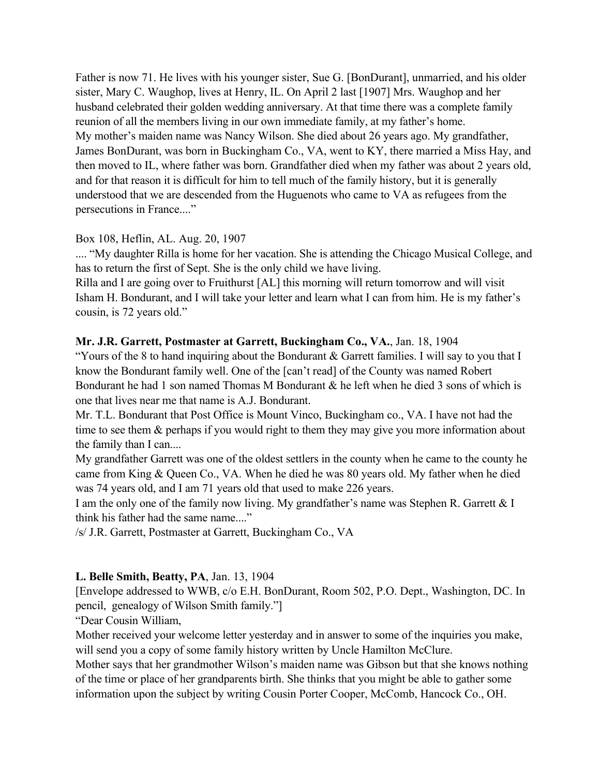Father is now 71. He lives with his younger sister, Sue G. [BonDurant], unmarried, and his older sister, Mary C. Waughop, lives at Henry, IL. On April 2 last [1907] Mrs. Waughop and her husband celebrated their golden wedding anniversary. At that time there was a complete family reunion of all the members living in our own immediate family, at my father's home. My mother's maiden name was Nancy Wilson. She died about 26 years ago. My grandfather, James BonDurant, was born in Buckingham Co., VA, went to KY, there married a Miss Hay, and then moved to IL, where father was born. Grandfather died when my father was about 2 years old, and for that reason it is difficult for him to tell much of the family history, but it is generally understood that we are descended from the Huguenots who came to VA as refugees from the persecutions in France...."

## Box 108, Heflin, AL. Aug. 20, 1907

.... "My daughter Rilla is home for her vacation. She is attending the Chicago Musical College, and has to return the first of Sept. She is the only child we have living.

Rilla and I are going over to Fruithurst [AL] this morning will return tomorrow and will visit Isham H. Bondurant, and I will take your letter and learn what I can from him. He is my father's cousin, is 72 years old."

## **Mr. J.R. Garrett, Postmaster at Garrett, Buckingham Co., VA.**, Jan. 18, 1904

"Yours of the 8 to hand inquiring about the Bondurant & Garrett families. I will say to you that I know the Bondurant family well. One of the [can't read] of the County was named Robert Bondurant he had 1 son named Thomas M Bondurant & he left when he died 3 sons of which is one that lives near me that name is A.J. Bondurant.

Mr. T.L. Bondurant that Post Office is Mount Vinco, Buckingham co., VA. I have not had the time to see them  $\&$  perhaps if you would right to them they may give you more information about the family than I can....

My grandfather Garrett was one of the oldest settlers in the county when he came to the county he came from King & Queen Co., VA. When he died he was 80 years old. My father when he died was 74 years old, and I am 71 years old that used to make 226 years.

I am the only one of the family now living. My grandfather's name was Stephen R. Garrett & I think his father had the same name...."

/s/ J.R. Garrett, Postmaster at Garrett, Buckingham Co., VA

## **L. Belle Smith, Beatty, PA**, Jan. 13, 1904

[Envelope addressed to WWB, c/o E.H. BonDurant, Room 502, P.O. Dept., Washington, DC. In pencil, genealogy of Wilson Smith family."]

"Dear Cousin William,

Mother received your welcome letter yesterday and in answer to some of the inquiries you make, will send you a copy of some family history written by Uncle Hamilton McClure.

Mother says that her grandmother Wilson's maiden name was Gibson but that she knows nothing of the time or place of her grandparents birth. She thinks that you might be able to gather some information upon the subject by writing Cousin Porter Cooper, McComb, Hancock Co., OH.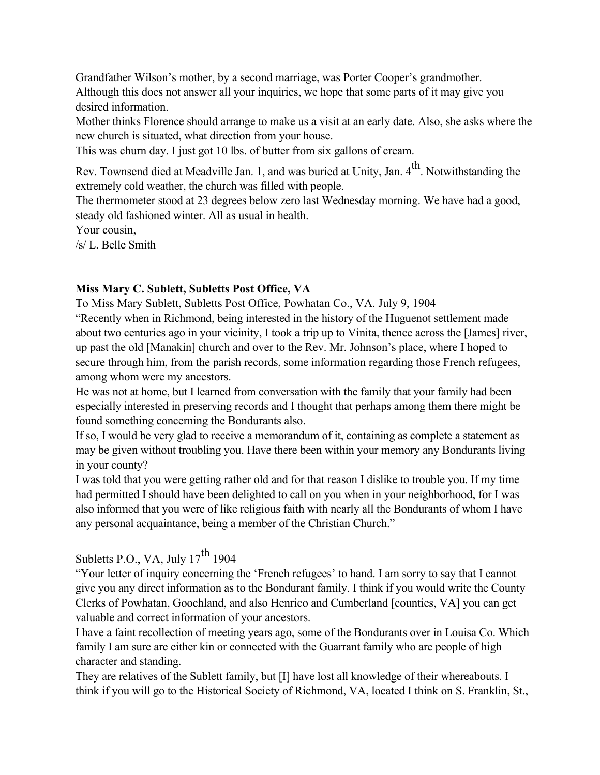Grandfather Wilson's mother, by a second marriage, was Porter Cooper's grandmother. Although this does not answer all your inquiries, we hope that some parts of it may give you desired information.

Mother thinks Florence should arrange to make us a visit at an early date. Also, she asks where the new church is situated, what direction from your house.

This was churn day. I just got 10 lbs. of butter from six gallons of cream.

Rev. Townsend died at Meadville Jan. 1, and was buried at Unity, Jan. 4<sup>th</sup>. Notwithstanding the extremely cold weather, the church was filled with people.

The thermometer stood at 23 degrees below zero last Wednesday morning. We have had a good, steady old fashioned winter. All as usual in health.

Your cousin,

/s/ L. Belle Smith

## **Miss Mary C. Sublett, Subletts Post Office, VA**

To Miss Mary Sublett, Subletts Post Office, Powhatan Co., VA. July 9, 1904 "Recently when in Richmond, being interested in the history of the Huguenot settlement made about two centuries ago in your vicinity, I took a trip up to Vinita, thence across the [James] river, up past the old [Manakin] church and over to the Rev. Mr. Johnson's place, where I hoped to secure through him, from the parish records, some information regarding those French refugees, among whom were my ancestors.

He was not at home, but I learned from conversation with the family that your family had been especially interested in preserving records and I thought that perhaps among them there might be found something concerning the Bondurants also.

If so, I would be very glad to receive a memorandum of it, containing as complete a statement as may be given without troubling you. Have there been within your memory any Bondurants living in your county?

I was told that you were getting rather old and for that reason I dislike to trouble you. If my time had permitted I should have been delighted to call on you when in your neighborhood, for I was also informed that you were of like religious faith with nearly all the Bondurants of whom I have any personal acquaintance, being a member of the Christian Church."

# Subletts P.O., VA, July  $17^{th}$  1904

"Your letter of inquiry concerning the 'French refugees' to hand. I am sorry to say that I cannot give you any direct information as to the Bondurant family. I think if you would write the County Clerks of Powhatan, Goochland, and also Henrico and Cumberland [counties, VA] you can get valuable and correct information of your ancestors.

I have a faint recollection of meeting years ago, some of the Bondurants over in Louisa Co. Which family I am sure are either kin or connected with the Guarrant family who are people of high character and standing.

They are relatives of the Sublett family, but [I] have lost all knowledge of their whereabouts. I think if you will go to the Historical Society of Richmond, VA, located I think on S. Franklin, St.,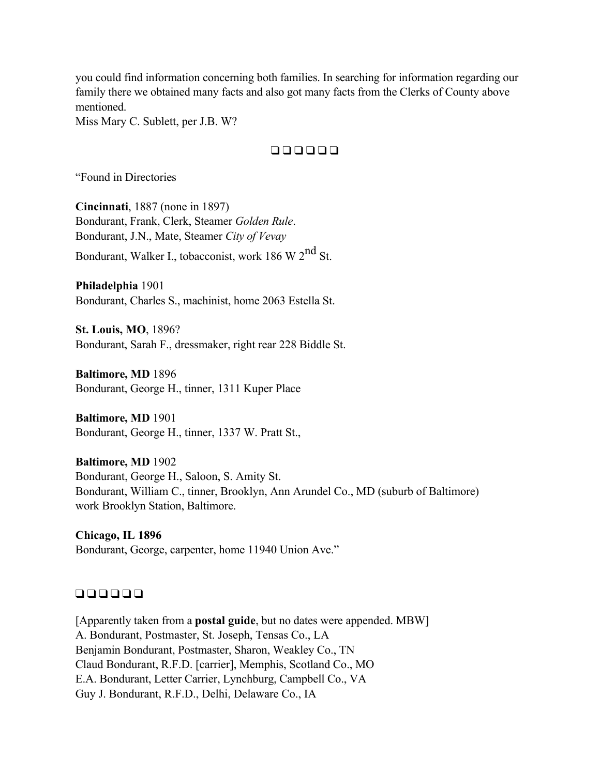you could find information concerning both families. In searching for information regarding our family there we obtained many facts and also got many facts from the Clerks of County above mentioned.

Miss Mary C. Sublett, per J.B. W?

#### ❑ ❑ ❑ ❑ ❑ ❑

"Found in Directories

**Cincinnati**, 1887 (none in 1897) Bondurant, Frank, Clerk, Steamer *Golden Rule*. Bondurant, J.N., Mate, Steamer *City of Vevay*

Bondurant, Walker I., tobacconist, work 186 W  $2^{nd}$  St.

**Philadelphia** 1901 Bondurant, Charles S., machinist, home 2063 Estella St.

**St. Louis, MO**, 1896? Bondurant, Sarah F., dressmaker, right rear 228 Biddle St.

**Baltimore, MD** 1896 Bondurant, George H., tinner, 1311 Kuper Place

**Baltimore, MD** 1901 Bondurant, George H., tinner, 1337 W. Pratt St.,

**Baltimore, MD** 1902 Bondurant, George H., Saloon, S. Amity St. Bondurant, William C., tinner, Brooklyn, Ann Arundel Co., MD (suburb of Baltimore) work Brooklyn Station, Baltimore.

**Chicago, IL 1896** Bondurant, George, carpenter, home 11940 Union Ave."

#### ❑ ❑ ❑ ❑ ❑ ❑

[Apparently taken from a **postal guide**, but no dates were appended. MBW] A. Bondurant, Postmaster, St. Joseph, Tensas Co., LA Benjamin Bondurant, Postmaster, Sharon, Weakley Co., TN Claud Bondurant, R.F.D. [carrier], Memphis, Scotland Co., MO E.A. Bondurant, Letter Carrier, Lynchburg, Campbell Co., VA Guy J. Bondurant, R.F.D., Delhi, Delaware Co., IA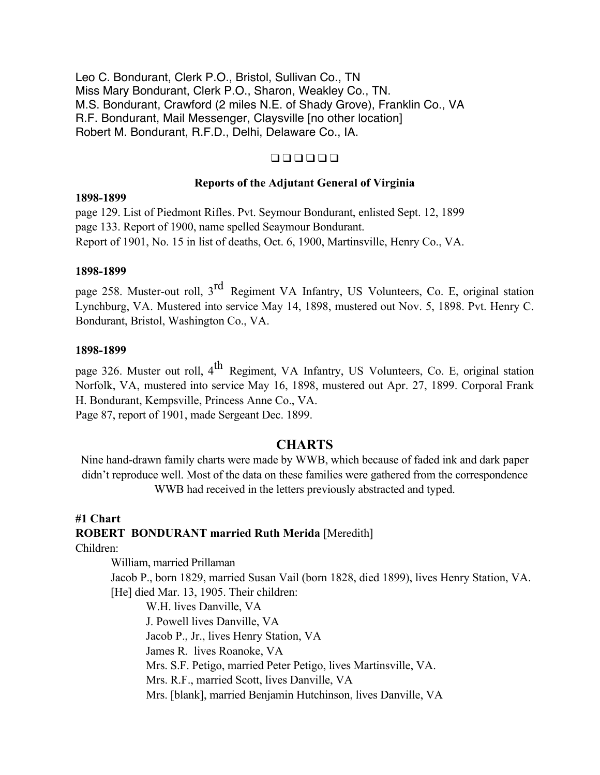Leo C. Bondurant, Clerk P.O., Bristol, Sullivan Co., TN Miss Mary Bondurant, Clerk P.O., Sharon, Weakley Co., TN. M.S. Bondurant, Crawford (2 miles N.E. of Shady Grove), Franklin Co., VA R.F. Bondurant, Mail Messenger, Claysville [no other location] Robert M. Bondurant, R.F.D., Delhi, Delaware Co., IA.

## $\Box$   $\Box$   $\Box$   $\Box$   $\Box$   $\Box$

#### **Reports of the Adjutant General of Virginia**

#### **1898-1899**

page 129. List of Piedmont Rifles. Pvt. Seymour Bondurant, enlisted Sept. 12, 1899 page 133. Report of 1900, name spelled Seaymour Bondurant. Report of 1901, No. 15 in list of deaths, Oct. 6, 1900, Martinsville, Henry Co., VA.

#### **1898-1899**

page 258. Muster-out roll, 3<sup>rd</sup> Regiment VA Infantry, US Volunteers, Co. E, original station Lynchburg, VA. Mustered into service May 14, 1898, mustered out Nov. 5, 1898. Pvt. Henry C. Bondurant, Bristol, Washington Co., VA.

#### **1898-1899**

page 326. Muster out roll, 4<sup>th</sup> Regiment, VA Infantry, US Volunteers, Co. E, original station Norfolk, VA, mustered into service May 16, 1898, mustered out Apr. 27, 1899. Corporal Frank H. Bondurant, Kempsville, Princess Anne Co., VA. Page 87, report of 1901, made Sergeant Dec. 1899.

## **CHARTS**

Nine hand-drawn family charts were made by WWB, which because of faded ink and dark paper didn't reproduce well. Most of the data on these families were gathered from the correspondence WWB had received in the letters previously abstracted and typed.

#### **#1 Chart**

## **ROBERT BONDURANT married Ruth Merida** [Meredith]

Children:

William, married Prillaman Jacob P., born 1829, married Susan Vail (born 1828, died 1899), lives Henry Station, VA. [He] died Mar. 13, 1905. Their children:

W.H. lives Danville, VA J. Powell lives Danville, VA Jacob P., Jr., lives Henry Station, VA James R. lives Roanoke, VA Mrs. S.F. Petigo, married Peter Petigo, lives Martinsville, VA. Mrs. R.F., married Scott, lives Danville, VA Mrs. [blank], married Benjamin Hutchinson, lives Danville, VA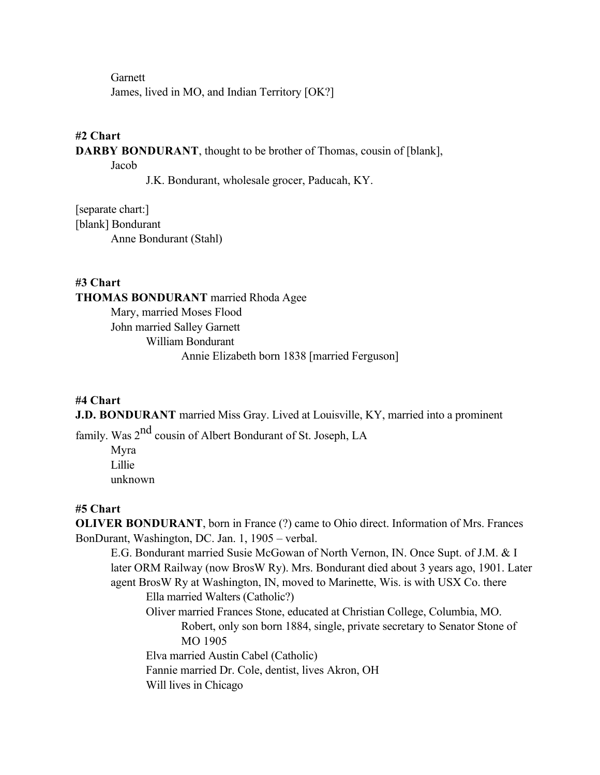**Garnett** James, lived in MO, and Indian Territory [OK?]

## **#2 Chart**

**DARBY BONDURANT**, thought to be brother of Thomas, cousin of [blank],

Jacob

J.K. Bondurant, wholesale grocer, Paducah, KY.

[separate chart:] [blank] Bondurant Anne Bondurant (Stahl)

**#3 Chart THOMAS BONDURANT** married Rhoda Agee Mary, married Moses Flood John married Salley Garnett William Bondurant Annie Elizabeth born 1838 [married Ferguson]

#### **#4 Chart**

**J.D. BONDURANT** married Miss Gray. Lived at Louisville, KY, married into a prominent

family. Was  $2^{nd}$  cousin of Albert Bondurant of St. Joseph, LA

Myra Lillie unknown

#### **#5 Chart**

**OLIVER BONDURANT**, born in France (?) came to Ohio direct. Information of Mrs. Frances BonDurant, Washington, DC. Jan. 1, 1905 – verbal.

E.G. Bondurant married Susie McGowan of North Vernon, IN. Once Supt. of J.M. & I later ORM Railway (now BrosW Ry). Mrs. Bondurant died about 3 years ago, 1901. Later agent BrosW Ry at Washington, IN, moved to Marinette, Wis. is with USX Co. there Ella married Walters (Catholic?) Oliver married Frances Stone, educated at Christian College, Columbia, MO. Robert, only son born 1884, single, private secretary to Senator Stone of MO 1905 Elva married Austin Cabel (Catholic) Fannie married Dr. Cole, dentist, lives Akron, OH Will lives in Chicago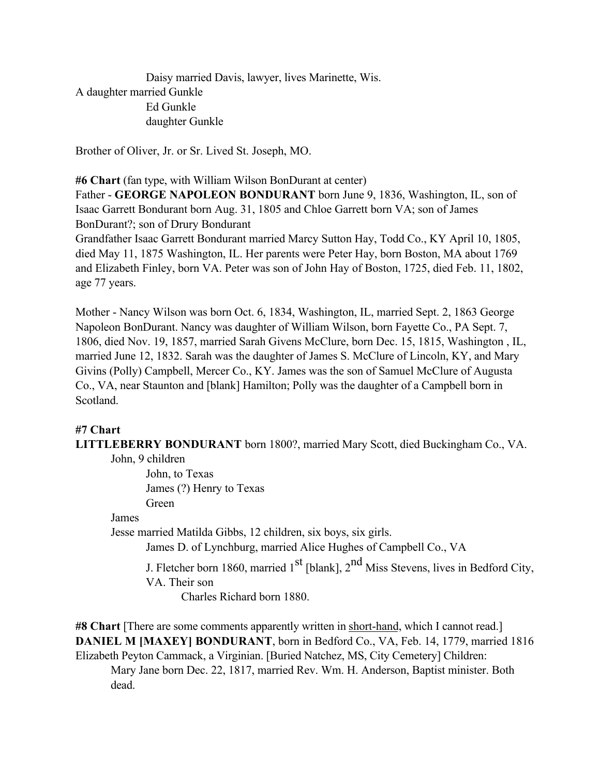Daisy married Davis, lawyer, lives Marinette, Wis. A daughter married Gunkle Ed Gunkle daughter Gunkle

Brother of Oliver, Jr. or Sr. Lived St. Joseph, MO.

**#6 Chart** (fan type, with William Wilson BonDurant at center)

Father - **GEORGE NAPOLEON BONDURANT** born June 9, 1836, Washington, IL, son of Isaac Garrett Bondurant born Aug. 31, 1805 and Chloe Garrett born VA; son of James BonDurant?; son of Drury Bondurant

Grandfather Isaac Garrett Bondurant married Marcy Sutton Hay, Todd Co., KY April 10, 1805, died May 11, 1875 Washington, IL. Her parents were Peter Hay, born Boston, MA about 1769 and Elizabeth Finley, born VA. Peter was son of John Hay of Boston, 1725, died Feb. 11, 1802, age 77 years.

Mother - Nancy Wilson was born Oct. 6, 1834, Washington, IL, married Sept. 2, 1863 George Napoleon BonDurant. Nancy was daughter of William Wilson, born Fayette Co., PA Sept. 7, 1806, died Nov. 19, 1857, married Sarah Givens McClure, born Dec. 15, 1815, Washington , IL, married June 12, 1832. Sarah was the daughter of James S. McClure of Lincoln, KY, and Mary Givins (Polly) Campbell, Mercer Co., KY. James was the son of Samuel McClure of Augusta Co., VA, near Staunton and [blank] Hamilton; Polly was the daughter of a Campbell born in Scotland.

## **#7 Chart**

**LITTLEBERRY BONDURANT** born 1800?, married Mary Scott, died Buckingham Co., VA.

John, 9 children

John, to Texas James (?) Henry to Texas Green

#### James

Jesse married Matilda Gibbs, 12 children, six boys, six girls.

James D. of Lynchburg, married Alice Hughes of Campbell Co., VA

J. Fletcher born 1860, married  $1<sup>st</sup>$  [blank],  $2<sup>nd</sup>$  Miss Stevens, lives in Bedford City, VA. Their son

Charles Richard born 1880.

**#8 Chart** [There are some comments apparently written in short-hand, which I cannot read.] **DANIEL M [MAXEY] BONDURANT**, born in Bedford Co., VA, Feb. 14, 1779, married 1816 Elizabeth Peyton Cammack, a Virginian. [Buried Natchez, MS, City Cemetery] Children: Mary Jane born Dec. 22, 1817, married Rev. Wm. H. Anderson, Baptist minister. Both

dead.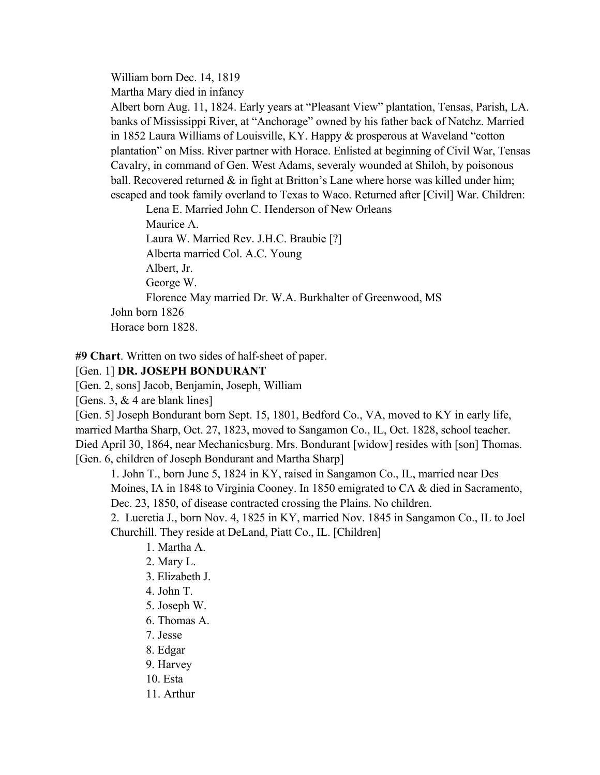William born Dec. 14, 1819

Martha Mary died in infancy

Albert born Aug. 11, 1824. Early years at "Pleasant View" plantation, Tensas, Parish, LA. banks of Mississippi River, at "Anchorage" owned by his father back of Natchz. Married in 1852 Laura Williams of Louisville, KY. Happy & prosperous at Waveland "cotton plantation" on Miss. River partner with Horace. Enlisted at beginning of Civil War, Tensas Cavalry, in command of Gen. West Adams, severaly wounded at Shiloh, by poisonous ball. Recovered returned  $\&$  in fight at Britton's Lane where horse was killed under him; escaped and took family overland to Texas to Waco. Returned after [Civil] War. Children:

Lena E. Married John C. Henderson of New Orleans Maurice A. Laura W. Married Rev. J.H.C. Braubie [?] Alberta married Col. A.C. Young Albert, Jr. George W. Florence May married Dr. W.A. Burkhalter of Greenwood, MS John born 1826 Horace born 1828.

**#9 Chart**. Written on two sides of half-sheet of paper.

# [Gen. 1] **DR. JOSEPH BONDURANT**

[Gen. 2, sons] Jacob, Benjamin, Joseph, William

[Gens. 3, & 4 are blank lines]

[Gen. 5] Joseph Bondurant born Sept. 15, 1801, Bedford Co., VA, moved to KY in early life, married Martha Sharp, Oct. 27, 1823, moved to Sangamon Co., IL, Oct. 1828, school teacher. Died April 30, 1864, near Mechanicsburg. Mrs. Bondurant [widow] resides with [son] Thomas. [Gen. 6, children of Joseph Bondurant and Martha Sharp]

1. John T., born June 5, 1824 in KY, raised in Sangamon Co., IL, married near Des Moines, IA in 1848 to Virginia Cooney. In 1850 emigrated to CA & died in Sacramento, Dec. 23, 1850, of disease contracted crossing the Plains. No children.

2. Lucretia J., born Nov. 4, 1825 in KY, married Nov. 1845 in Sangamon Co., IL to Joel Churchill. They reside at DeLand, Piatt Co., IL. [Children]

- 1. Martha A.
- 2. Mary L.
- 3. Elizabeth J.
- 4. John T.
- 5. Joseph W.
- 6. Thomas A.
- 7. Jesse
- 8. Edgar
- 9. Harvey
- 10. Esta
- 11. Arthur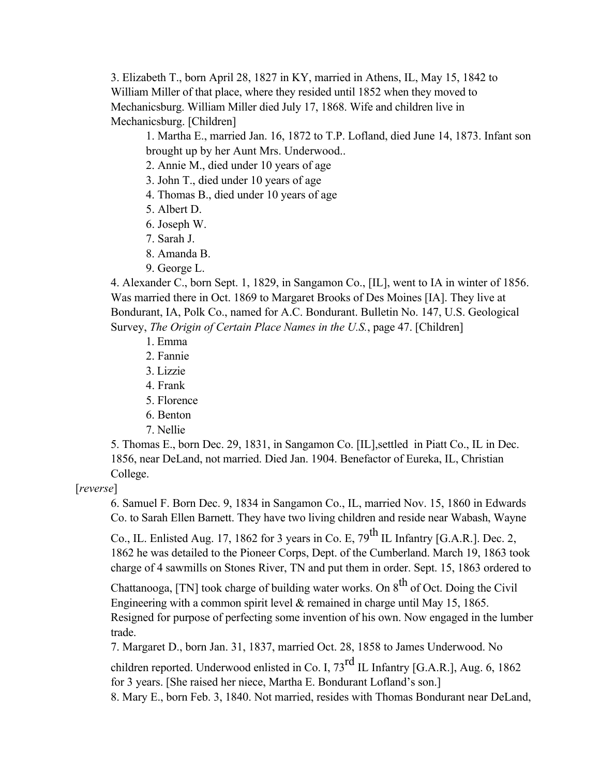3. Elizabeth T., born April 28, 1827 in KY, married in Athens, IL, May 15, 1842 to William Miller of that place, where they resided until 1852 when they moved to Mechanicsburg. William Miller died July 17, 1868. Wife and children live in Mechanicsburg. [Children]

1. Martha E., married Jan. 16, 1872 to T.P. Lofland, died June 14, 1873. Infant son brought up by her Aunt Mrs. Underwood..

2. Annie M., died under 10 years of age

3. John T., died under 10 years of age

4. Thomas B., died under 10 years of age

- 5. Albert D.
- 6. Joseph W.
- 7. Sarah J.
- 8. Amanda B.
- 9. George L.

4. Alexander C., born Sept. 1, 1829, in Sangamon Co., [IL], went to IA in winter of 1856. Was married there in Oct. 1869 to Margaret Brooks of Des Moines [IA]. They live at Bondurant, IA, Polk Co., named for A.C. Bondurant. Bulletin No. 147, U.S. Geological Survey, *The Origin of Certain Place Names in the U.S.*, page 47. [Children]

- 1. Emma
- 2. Fannie
- 3. Lizzie
- 4. Frank
- 5. Florence
- 6. Benton
- 7. Nellie

5. Thomas E., born Dec. 29, 1831, in Sangamon Co. [IL],settled in Piatt Co., IL in Dec. 1856, near DeLand, not married. Died Jan. 1904. Benefactor of Eureka, IL, Christian College.

#### [*reverse*]

6. Samuel F. Born Dec. 9, 1834 in Sangamon Co., IL, married Nov. 15, 1860 in Edwards Co. to Sarah Ellen Barnett. They have two living children and reside near Wabash, Wayne

Co., IL. Enlisted Aug. 17, 1862 for 3 years in Co. E,  $79^{th}$  IL Infantry [G.A.R.]. Dec. 2, 1862 he was detailed to the Pioneer Corps, Dept. of the Cumberland. March 19, 1863 took charge of 4 sawmills on Stones River, TN and put them in order. Sept. 15, 1863 ordered to

Chattanooga, [TN] took charge of building water works. On  $8<sup>th</sup>$  of Oct. Doing the Civil Engineering with a common spirit level & remained in charge until May 15, 1865. Resigned for purpose of perfecting some invention of his own. Now engaged in the lumber trade.

7. Margaret D., born Jan. 31, 1837, married Oct. 28, 1858 to James Underwood. No

children reported. Underwood enlisted in Co. I,  $73^{\text{rd}}$  IL Infantry [G.A.R.], Aug. 6, 1862 for 3 years. [She raised her niece, Martha E. Bondurant Lofland's son.]

8. Mary E., born Feb. 3, 1840. Not married, resides with Thomas Bondurant near DeLand,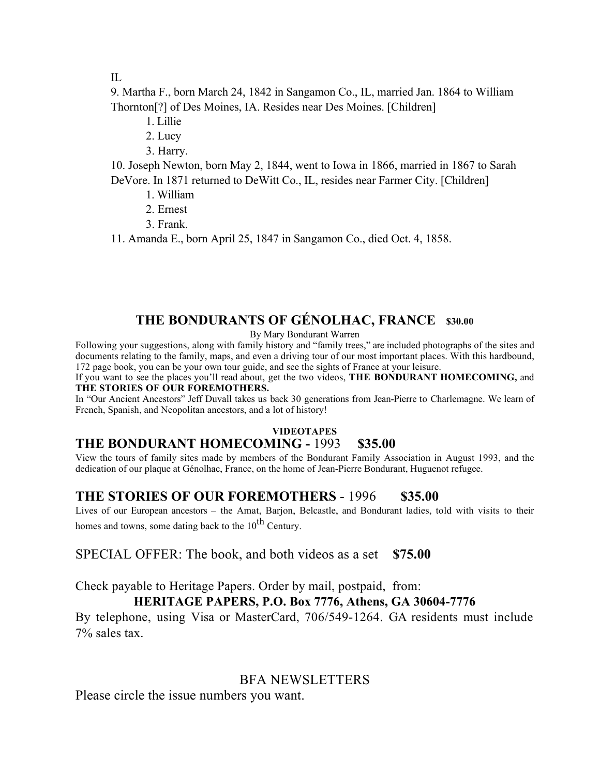IL

9. Martha F., born March 24, 1842 in Sangamon Co., IL, married Jan. 1864 to William Thornton[?] of Des Moines, IA. Resides near Des Moines. [Children]

1. Lillie

2. Lucy

3. Harry.

10. Joseph Newton, born May 2, 1844, went to Iowa in 1866, married in 1867 to Sarah DeVore. In 1871 returned to DeWitt Co., IL, resides near Farmer City. [Children]

- 1. William
- 2. Ernest
- 3. Frank.

11. Amanda E., born April 25, 1847 in Sangamon Co., died Oct. 4, 1858.

# **THE BONDURANTS OF GÉNOLHAC, FRANCE \$30.00**

By Mary Bondurant Warren

Following your suggestions, along with family history and "family trees," are included photographs of the sites and documents relating to the family, maps, and even a driving tour of our most important places. With this hardbound, 172 page book, you can be your own tour guide, and see the sights of France at your leisure.

If you want to see the places you'll read about, get the two videos, **THE BONDURANT HOMECOMING,** and **THE STORIES OF OUR FOREMOTHERS.**

In "Our Ancient Ancestors" Jeff Duvall takes us back 30 generations from Jean-Pierre to Charlemagne. We learn of French, Spanish, and Neopolitan ancestors, and a lot of history!

#### **VIDEOTAPES**

# **THE BONDURANT HOMECOMING -** 1993 **\$35.00**

View the tours of family sites made by members of the Bondurant Family Association in August 1993, and the dedication of our plaque at Génolhac, France, on the home of Jean-Pierre Bondurant, Huguenot refugee.

# **THE STORIES OF OUR FOREMOTHERS** - 1996 **\$35.00**

Lives of our European ancestors – the Amat, Barjon, Belcastle, and Bondurant ladies, told with visits to their homes and towns, some dating back to the  $10^{th}$  Century.

SPECIAL OFFER: The book, and both videos as a set **\$75.00**

Check payable to Heritage Papers. Order by mail, postpaid, from:

# **HERITAGE PAPERS, P.O. Box 7776, Athens, GA 30604-7776**

By telephone, using Visa or MasterCard, 706/549-1264. GA residents must include 7% sales tax.

## BFA NEWSLETTERS

Please circle the issue numbers you want.